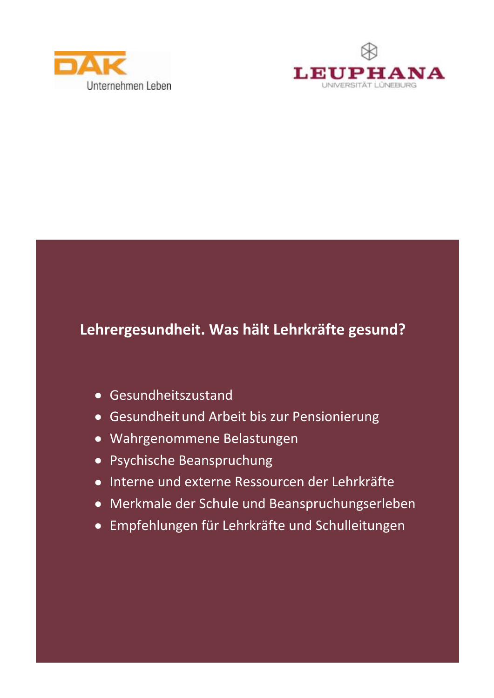



### Lehrergesundheit. Was hält Lehrkräfte gesund?

- Gesundheitszustand
- Gesundheit und Arbeit bis zur Pensionierung
- · Wahrgenommene Belastungen
- Psychische Beanspruchung
- Interne und externe Ressourcen der Lehrkräfte
- Merkmale der Schule und Beanspruchungserleben
- · Empfehlungen für Lehrkräfte und Schulleitungen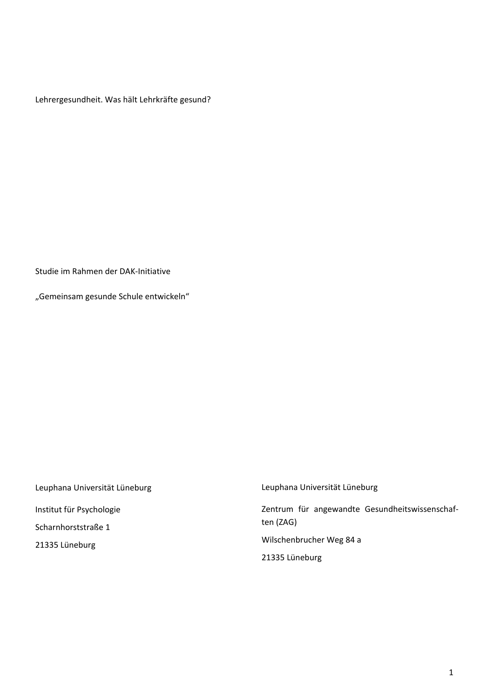Lehrergesundheit. Was hält Lehrkräfte gesund?

Studie im Rahmen der DAK-Initiative

"Gemeinsam gesunde Schule entwickeln"

Leuphana Universität Lüneburg Institut für Psychologie Scharnhorststraße 1 21335 Lüneburg

Leuphana Universität Lüneburg Zentrum für angewandte Gesundheitswissenschaften (ZAG) Wilschenbrucher Weg 84 a 21335 Lüneburg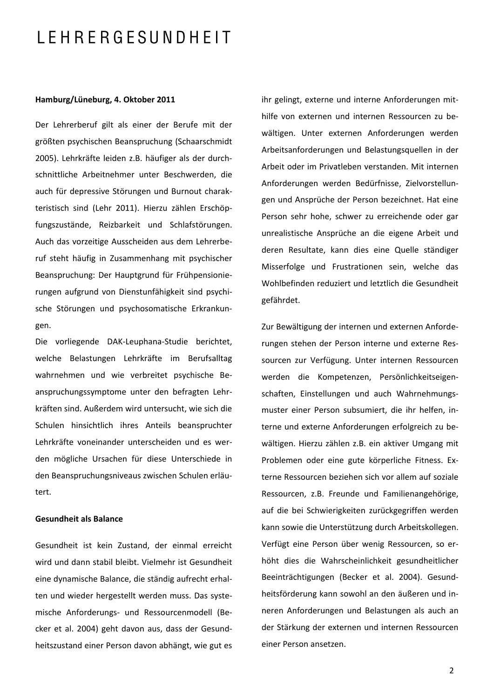### LEHRERGESUNDHEIT

### Hamburg/Lüneburg, 4. Oktober 2011

Der Lehrerberuf gilt als einer der Berufe mit der größten psychischen Beanspruchung (Schaarschmidt 2005). Lehrkräfte leiden z.B. häufiger als der durchschnittliche Arbeitnehmer unter Beschwerden, die auch für depressive Störungen und Burnout charakteristisch sind (Lehr 2011). Hierzu zählen Erschöpfungszustände, Reizbarkeit und Schlafstörungen. Auch das vorzeitige Ausscheiden aus dem Lehrerberuf steht häufig in Zusammenhang mit psychischer Beanspruchung: Der Hauptgrund für Frühpensionierungen aufgrund von Dienstunfähigkeit sind psychische Störungen und psychosomatische Erkrankungen.

Die vorliegende DAK-Leuphana-Studie berichtet, welche Belastungen Lehrkräfte im Berufsalltag wahrnehmen und wie verbreitet psychische Beanspruchungssymptome unter den befragten Lehrkräften sind. Außerdem wird untersucht, wie sich die Schulen hinsichtlich ihres Anteils beanspruchter Lehrkräfte voneinander unterscheiden und es werden mögliche Ursachen für diese Unterschiede in den Beanspruchungsniveaus zwischen Schulen erläutert.

#### **Gesundheit als Balance**

Gesundheit ist kein Zustand, der einmal erreicht wird und dann stabil bleibt. Vielmehr ist Gesundheit eine dynamische Balance, die ständig aufrecht erhalten und wieder hergestellt werden muss. Das systemische Anforderungs- und Ressourcenmodell (Becker et al. 2004) geht davon aus, dass der Gesundheitszustand einer Person davon abhängt, wie gut es

ihr gelingt, externe und interne Anforderungen mithilfe von externen und internen Ressourcen zu bewältigen. Unter externen Anforderungen werden Arbeitsanforderungen und Belastungsquellen in der Arbeit oder im Privatleben verstanden. Mit internen Anforderungen werden Bedürfnisse, Zielvorstellungen und Ansprüche der Person bezeichnet. Hat eine Person sehr hohe, schwer zu erreichende oder gar unrealistische Ansprüche an die eigene Arbeit und deren Resultate, kann dies eine Quelle ständiger Misserfolge und Frustrationen sein, welche das Wohlbefinden reduziert und letztlich die Gesundheit gefährdet.

Zur Bewältigung der internen und externen Anforderungen stehen der Person interne und externe Ressourcen zur Verfügung. Unter internen Ressourcen werden die Kompetenzen, Persönlichkeitseigenschaften, Einstellungen und auch Wahrnehmungsmuster einer Person subsumiert, die ihr helfen, interne und externe Anforderungen erfolgreich zu bewältigen. Hierzu zählen z.B. ein aktiver Umgang mit Problemen oder eine gute körperliche Fitness. Externe Ressourcen beziehen sich vor allem auf soziale Ressourcen, z.B. Freunde und Familienangehörige, auf die bei Schwierigkeiten zurückgegriffen werden kann sowie die Unterstützung durch Arbeitskollegen. Verfügt eine Person über wenig Ressourcen, so erhöht dies die Wahrscheinlichkeit gesundheitlicher Beeinträchtigungen (Becker et al. 2004). Gesundheitsförderung kann sowohl an den äußeren und inneren Anforderungen und Belastungen als auch an der Stärkung der externen und internen Ressourcen einer Person ansetzen.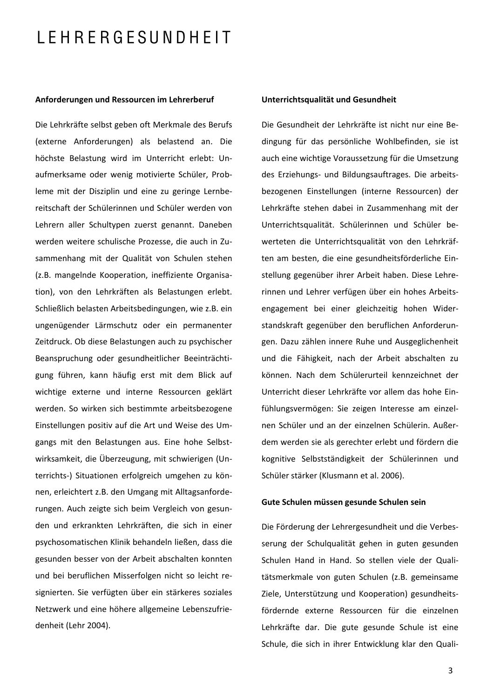### LEHRERGESUNDHEIT

#### Anforderungen und Ressourcen im Lehrerberuf

Die Lehrkräfte selbst geben oft Merkmale des Berufs (externe Anforderungen) als belastend an. Die höchste Belastung wird im Unterricht erlebt: Unaufmerksame oder wenig motivierte Schüler, Probleme mit der Disziplin und eine zu geringe Lernbereitschaft der Schülerinnen und Schüler werden von Lehrern aller Schultypen zuerst genannt. Daneben werden weitere schulische Prozesse, die auch in Zusammenhang mit der Qualität von Schulen stehen (z.B. mangelnde Kooperation, ineffiziente Organisation), von den Lehrkräften als Belastungen erlebt. Schließlich belasten Arbeitsbedingungen, wie z.B. ein ungenügender Lärmschutz oder ein permanenter Zeitdruck. Ob diese Belastungen auch zu psychischer Beanspruchung oder gesundheitlicher Beeinträchtigung führen, kann häufig erst mit dem Blick auf wichtige externe und interne Ressourcen geklärt werden. So wirken sich bestimmte arbeitsbezogene Einstellungen positiv auf die Art und Weise des Umgangs mit den Belastungen aus. Eine hohe Selbstwirksamkeit, die Überzeugung, mit schwierigen (Unterrichts-) Situationen erfolgreich umgehen zu können, erleichtert z.B. den Umgang mit Alltagsanforderungen. Auch zeigte sich beim Vergleich von gesunden und erkrankten Lehrkräften, die sich in einer psychosomatischen Klinik behandeln ließen, dass die gesunden besser von der Arbeit abschalten konnten und bei beruflichen Misserfolgen nicht so leicht resignierten. Sie verfügten über ein stärkeres soziales Netzwerk und eine höhere allgemeine Lebenszufriedenheit (Lehr 2004).

### Unterrichtsqualität und Gesundheit

Die Gesundheit der Lehrkräfte ist nicht nur eine Bedingung für das persönliche Wohlbefinden, sie ist auch eine wichtige Voraussetzung für die Umsetzung des Erziehungs- und Bildungsauftrages. Die arbeitsbezogenen Einstellungen (interne Ressourcen) der Lehrkräfte stehen dabei in Zusammenhang mit der Unterrichtsqualität. Schülerinnen und Schüler bewerteten die Unterrichtsqualität von den Lehrkräften am besten, die eine gesundheitsförderliche Einstellung gegenüber ihrer Arbeit haben. Diese Lehrerinnen und Lehrer verfügen über ein hohes Arbeitsengagement bei einer gleichzeitig hohen Widerstandskraft gegenüber den beruflichen Anforderungen. Dazu zählen innere Ruhe und Ausgeglichenheit und die Fähigkeit, nach der Arbeit abschalten zu können. Nach dem Schülerurteil kennzeichnet der Unterricht dieser Lehrkräfte vor allem das hohe Finfühlungsvermögen: Sie zeigen Interesse am einzelnen Schüler und an der einzelnen Schülerin. Außerdem werden sie als gerechter erlebt und fördern die kognitive Selbstständigkeit der Schülerinnen und Schüler stärker (Klusmann et al. 2006).

#### Gute Schulen müssen gesunde Schulen sein

Die Förderung der Lehrergesundheit und die Verbesserung der Schulqualität gehen in guten gesunden Schulen Hand in Hand. So stellen viele der Qualitätsmerkmale von guten Schulen (z.B. gemeinsame Ziele, Unterstützung und Kooperation) gesundheitsfördernde externe Ressourcen für die einzelnen Lehrkräfte dar. Die gute gesunde Schule ist eine Schule, die sich in ihrer Entwicklung klar den Quali-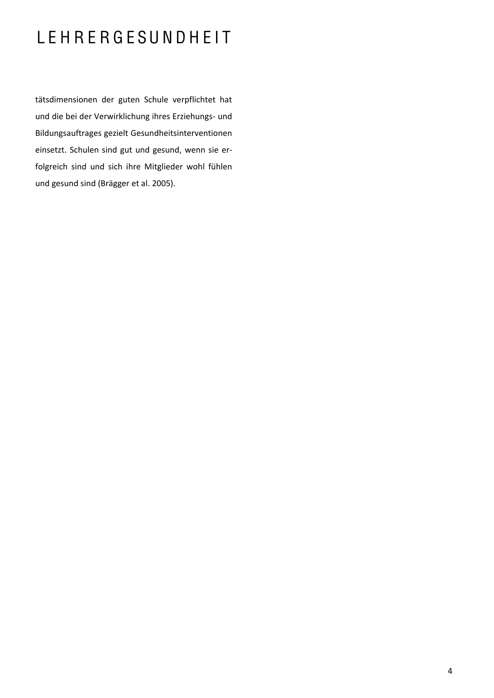## LEHRERGESUNDHEIT

tätsdimensionen der guten Schule verpflichtet hat und die bei der Verwirklichung ihres Erziehungs- und Bildungsauftrages gezielt Gesundheitsinterventionen einsetzt. Schulen sind gut und gesund, wenn sie erfolgreich sind und sich ihre Mitglieder wohl fühlen und gesund sind (Brägger et al. 2005).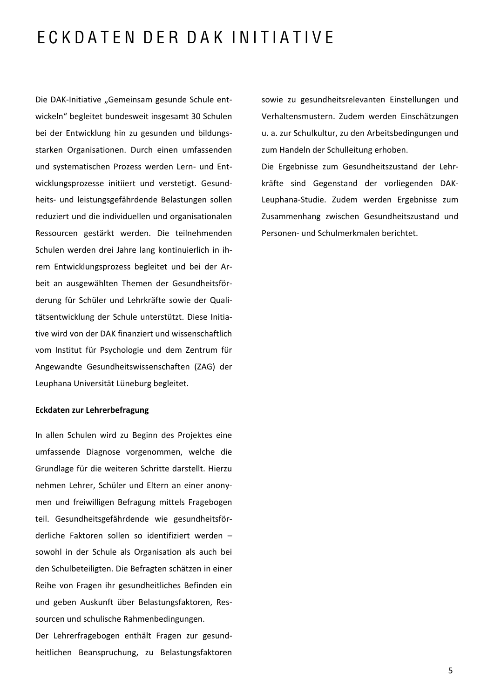### ECKDATEN DER DAK INITIATIVE

Die DAK-Initiative "Gemeinsam gesunde Schule entwickeln" begleitet bundesweit insgesamt 30 Schulen bei der Entwicklung hin zu gesunden und bildungsstarken Organisationen. Durch einen umfassenden und systematischen Prozess werden Lern- und Entwicklungsprozesse initiiert und verstetigt. Gesundheits- und leistungsgefährdende Belastungen sollen reduziert und die individuellen und organisationalen Ressourcen gestärkt werden. Die teilnehmenden Schulen werden drei Jahre lang kontinuierlich in ihrem Entwicklungsprozess begleitet und bei der Arbeit an ausgewählten Themen der Gesundheitsförderung für Schüler und Lehrkräfte sowie der Qualitätsentwicklung der Schule unterstützt. Diese Initiative wird von der DAK finanziert und wissenschaftlich vom Institut für Psychologie und dem Zentrum für Angewandte Gesundheitswissenschaften (ZAG) der Leuphana Universität Lüneburg begleitet.

### Eckdaten zur Lehrerbefragung

In allen Schulen wird zu Beginn des Projektes eine umfassende Diagnose vorgenommen, welche die Grundlage für die weiteren Schritte darstellt. Hierzu nehmen Lehrer, Schüler und Eltern an einer anonymen und freiwilligen Befragung mittels Fragebogen teil. Gesundheitsgefährdende wie gesundheitsförderliche Faktoren sollen so identifiziert werden sowohl in der Schule als Organisation als auch bei den Schulbeteiligten. Die Befragten schätzen in einer Reihe von Fragen ihr gesundheitliches Befinden ein und geben Auskunft über Belastungsfaktoren, Ressourcen und schulische Rahmenbedingungen.

Der Lehrerfragebogen enthält Fragen zur gesundheitlichen Beanspruchung, zu Belastungsfaktoren

sowie zu gesundheitsrelevanten Einstellungen und Verhaltensmustern. Zudem werden Einschätzungen u. a. zur Schulkultur, zu den Arbeitsbedingungen und zum Handeln der Schulleitung erhoben.

Die Ergebnisse zum Gesundheitszustand der Lehrkräfte sind Gegenstand der vorliegenden DAK-Leuphana-Studie. Zudem werden Ergebnisse zum Zusammenhang zwischen Gesundheitszustand und Personen- und Schulmerkmalen berichtet.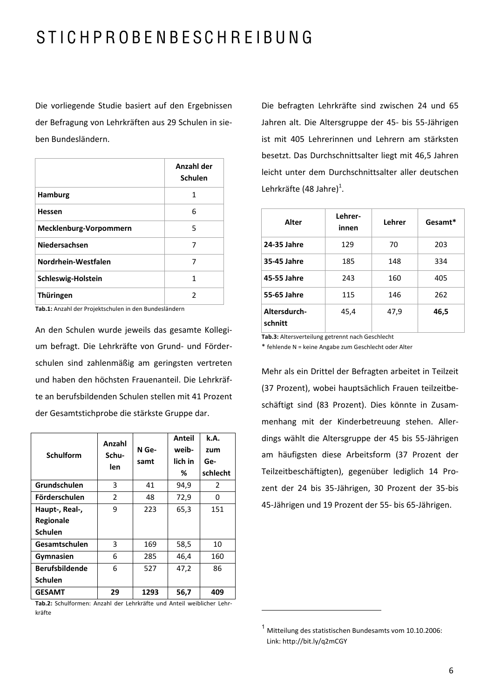## STICHPROBENBESCHREIBUNG

Die vorliegende Studie basiert auf den Ergebnissen der Befragung von Lehrkräften aus 29 Schulen in sieben Bundesländern.

|                        | Anzahl der<br><b>Schulen</b> |
|------------------------|------------------------------|
| Hamburg                | 1                            |
| <b>Hessen</b>          | 6                            |
| Mecklenburg-Vorpommern | 5                            |
| Niedersachsen          | 7                            |
| Nordrhein-Westfalen    | 7                            |
| Schleswig-Holstein     | 1                            |
| Thüringen              | $\mathcal{P}$                |

Tab.1: Anzahl der Projektschulen in den Bundesländern

An den Schulen wurde jeweils das gesamte Kollegium befragt. Die Lehrkräfte von Grund- und Förderschulen sind zahlenmäßig am geringsten vertreten und haben den höchsten Frauenanteil. Die Lehrkräfte an berufsbildenden Schulen stellen mit 41 Prozent der Gesamtstichprobe die stärkste Gruppe dar.

| <b>Schulform</b>      | Anzahl<br>Schu-<br>len | N Ge-<br>samt | Anteil<br>weib-<br>lich in<br>% | k.A.<br>zum<br>Ge-<br>schlecht |
|-----------------------|------------------------|---------------|---------------------------------|--------------------------------|
| Grundschulen          | 3                      | 41            | 94,9                            | 2                              |
| Förderschulen         | 2                      | 48            | 72,9                            | 0                              |
| Haupt-, Real-,        | 9                      | 223           | 65,3                            | 151                            |
| Regionale             |                        |               |                                 |                                |
| <b>Schulen</b>        |                        |               |                                 |                                |
| Gesamtschulen         | 3                      | 169           | 58,5                            | 10                             |
| Gymnasien             | 6                      | 285           | 46,4                            | 160                            |
| <b>Berufsbildende</b> | 6                      | 527           | 47,2                            | 86                             |
| <b>Schulen</b>        |                        |               |                                 |                                |
| <b>GESAMT</b>         | 29                     | 1293          | 56,7                            | 409                            |

Tab.2: Schulformen: Anzahl der Lehrkräfte und Anteil weiblicher Lehrkräfte

Die befragten Lehrkräfte sind zwischen 24 und 65 Jahren alt. Die Altersgruppe der 45- bis 55-Jährigen ist mit 405 Lehrerinnen und Lehrern am stärksten besetzt. Das Durchschnittsalter liegt mit 46,5 Jahren leicht unter dem Durchschnittsalter aller deutschen Lehrkräfte (48 Jahre)<sup>1</sup>.

| Alter                   | Lehrer-<br>innen | Lehrer | Gesamt* |
|-------------------------|------------------|--------|---------|
| 24-35 Jahre             | 129              | 70     | 203     |
| 35-45 Jahre             | 185              | 148    | 334     |
| 45-55 Jahre             | 243              | 160    | 405     |
| 55-65 Jahre             | 115              | 146    | 262     |
| Altersdurch-<br>schnitt | 45,4             | 47,9   | 46,5    |

Tab.3: Altersverteilung getrennt nach Geschlecht

\* fehlende N = keine Angabe zum Geschlecht oder Alter

Mehr als ein Drittel der Befragten arbeitet in Teilzeit (37 Prozent), wobei hauptsächlich Frauen teilzeitbeschäftigt sind (83 Prozent). Dies könnte in Zusammenhang mit der Kinderbetreuung stehen. Allerdings wählt die Altersgruppe der 45 bis 55-Jährigen am häufigsten diese Arbeitsform (37 Prozent der Teilzeitbeschäftigten), gegenüber lediglich 14 Prozent der 24 bis 35-Jährigen, 30 Prozent der 35-bis 45-Jährigen und 19 Prozent der 55- bis 65-Jährigen.

 $1$  Mitteilung des statistischen Bundesamts vom 10.10.2006: Link: http://bit.ly/q2mCGY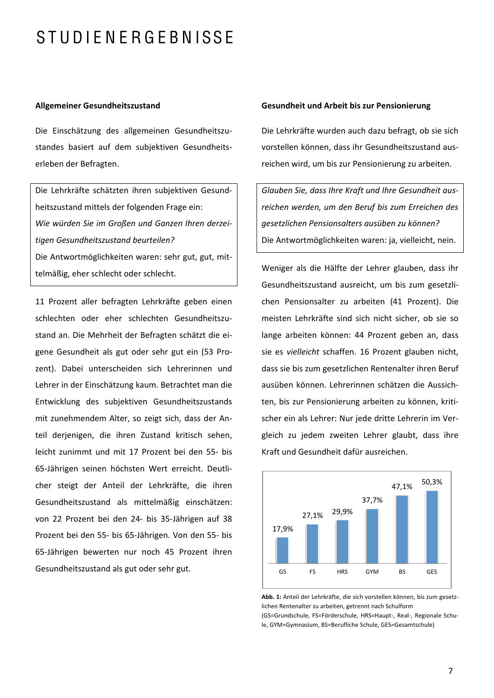### **Allgemeiner Gesundheitszustand**

Die Einschätzung des allgemeinen Gesundheitszustandes basiert auf dem subjektiven Gesundheitserleben der Befragten.

Die Lehrkräfte schätzten ihren subjektiven Gesundheitszustand mittels der folgenden Frage ein: Wie würden Sie im Großen und Ganzen Ihren derzeitigen Gesundheitszustand beurteilen? Die Antwortmöglichkeiten waren: sehr gut, gut, mittelmäßig, eher schlecht oder schlecht.

11 Prozent aller befragten Lehrkräfte geben einen schlechten oder eher schlechten Gesundheitszustand an. Die Mehrheit der Befragten schätzt die eigene Gesundheit als gut oder sehr gut ein (53 Prozent). Dabei unterscheiden sich Lehrerinnen und Lehrer in der Einschätzung kaum. Betrachtet man die Entwicklung des subjektiven Gesundheitszustands mit zunehmendem Alter, so zeigt sich, dass der Anteil derjenigen, die ihren Zustand kritisch sehen, leicht zunimmt und mit 17 Prozent bei den 55- bis 65-Jährigen seinen höchsten Wert erreicht. Deutlicher steigt der Anteil der Lehrkräfte, die ihren Gesundheitszustand als mittelmäßig einschätzen: von 22 Prozent bei den 24- bis 35-Jährigen auf 38 Prozent bei den 55- bis 65-Jährigen. Von den 55- bis 65-Jährigen bewerten nur noch 45 Prozent ihren Gesundheitszustand als gut oder sehr gut.

#### Gesundheit und Arbeit bis zur Pensionierung

Die Lehrkräfte wurden auch dazu befragt, ob sie sich vorstellen können, dass ihr Gesundheitszustand ausreichen wird, um bis zur Pensionierung zu arbeiten.

Glauben Sie, dass Ihre Kraft und Ihre Gesundheit ausreichen werden, um den Beruf bis zum Erreichen des gesetzlichen Pensionsalters ausüben zu können? Die Antwortmöglichkeiten waren: ja, vielleicht, nein.

Weniger als die Hälfte der Lehrer glauben, dass ihr Gesundheitszustand ausreicht, um bis zum gesetzlichen Pensionsalter zu arbeiten (41 Prozent). Die meisten Lehrkräfte sind sich nicht sicher, ob sie so lange arbeiten können: 44 Prozent geben an, dass sie es vielleicht schaffen. 16 Prozent glauben nicht, dass sie bis zum gesetzlichen Rentenalter ihren Beruf ausüben können. Lehrerinnen schätzen die Aussichten, bis zur Pensionierung arbeiten zu können, kritischer ein als Lehrer: Nur jede dritte Lehrerin im Vergleich zu jedem zweiten Lehrer glaubt, dass ihre Kraft und Gesundheit dafür ausreichen.



Abb. 1: Anteil der Lehrkräfte, die sich vorstellen können, bis zum gesetzlichen Rentenalter zu arbeiten, getrennt nach Schulform (GS=Grundschule, FS=Förderschule, HRS=Haupt-, Real-, Regionale Schule, GYM=Gymnasium, BS=Berufliche Schule, GES=Gesamtschule)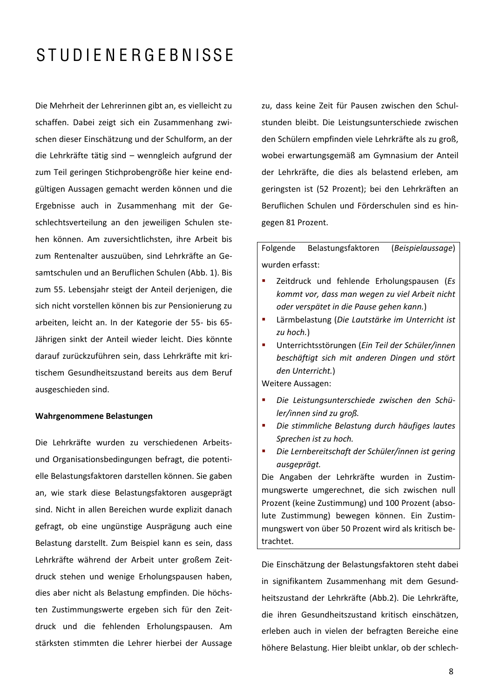Die Mehrheit der Lehrerinnen gibt an, es vielleicht zu schaffen. Dabei zeigt sich ein Zusammenhang zwischen dieser Einschätzung und der Schulform, an der die Lehrkräfte tätig sind – wenngleich aufgrund der zum Teil geringen Stichprobengröße hier keine endgültigen Aussagen gemacht werden können und die Ergebnisse auch in Zusammenhang mit der Geschlechtsverteilung an den jeweiligen Schulen stehen können. Am zuversichtlichsten, ihre Arbeit bis zum Rentenalter auszuüben, sind Lehrkräfte an Gesamtschulen und an Beruflichen Schulen (Abb. 1). Bis zum 55. Lebensjahr steigt der Anteil derjenigen, die sich nicht vorstellen können bis zur Pensionierung zu arbeiten, leicht an. In der Kategorie der 55- bis 65-Jährigen sinkt der Anteil wieder leicht. Dies könnte darauf zurückzuführen sein, dass Lehrkräfte mit kritischem Gesundheitszustand bereits aus dem Beruf ausgeschieden sind.

#### Wahrgenommene Belastungen

Die Lehrkräfte wurden zu verschiedenen Arbeitsund Organisationsbedingungen befragt, die potentielle Belastungsfaktoren darstellen können. Sie gaben an, wie stark diese Belastungsfaktoren ausgeprägt sind. Nicht in allen Bereichen wurde explizit danach gefragt, ob eine ungünstige Ausprägung auch eine Belastung darstellt. Zum Beispiel kann es sein, dass Lehrkräfte während der Arbeit unter großem Zeitdruck stehen und wenige Erholungspausen haben, dies aber nicht als Belastung empfinden. Die höchsten Zustimmungswerte ergeben sich für den Zeitdruck und die fehlenden Erholungspausen. Am stärksten stimmten die Lehrer hierbei der Aussage

zu, dass keine Zeit für Pausen zwischen den Schulstunden bleibt. Die Leistungsunterschiede zwischen den Schülern empfinden viele Lehrkräfte als zu groß, wobei erwartungsgemäß am Gymnasium der Anteil der Lehrkräfte, die dies als belastend erleben, am geringsten ist (52 Prozent); bei den Lehrkräften an Beruflichen Schulen und Förderschulen sind es hingegen 81 Prozent.

Folgende Belastungsfaktoren (Beispielaussage) wurden erfasst:

- Zeitdruck und fehlende Erholungspausen (Es kommt vor, dass man wegen zu viel Arbeit nicht oder verspätet in die Pause gehen kann.)
- à, Lärmbelastung (Die Lautstärke im Unterricht ist  $zu$  hoch.)
- Unterrichtsstörungen (Ein Teil der Schüler/innen beschäftigt sich mit anderen Dingen und stört den Unterricht.)

Weitere Aussagen:

- Die Leistungsunterschiede zwischen den Schüler/innen sind zu groß.
- $\mathbf{r}$ Die stimmliche Belastung durch häufiges lautes Sprechen ist zu hoch.
- Die Lernbereitschaft der Schüler/innen ist gering ausgeprägt.

Die Angaben der Lehrkräfte wurden in Zustimmungswerte umgerechnet, die sich zwischen null Prozent (keine Zustimmung) und 100 Prozent (absolute Zustimmung) bewegen können. Ein Zustimmungswert von über 50 Prozent wird als kritisch betrachtet.

Die Einschätzung der Belastungsfaktoren steht dabei in signifikantem Zusammenhang mit dem Gesundheitszustand der Lehrkräfte (Abb.2). Die Lehrkräfte, die ihren Gesundheitszustand kritisch einschätzen, erleben auch in vielen der befragten Bereiche eine höhere Belastung. Hier bleibt unklar, ob der schlech-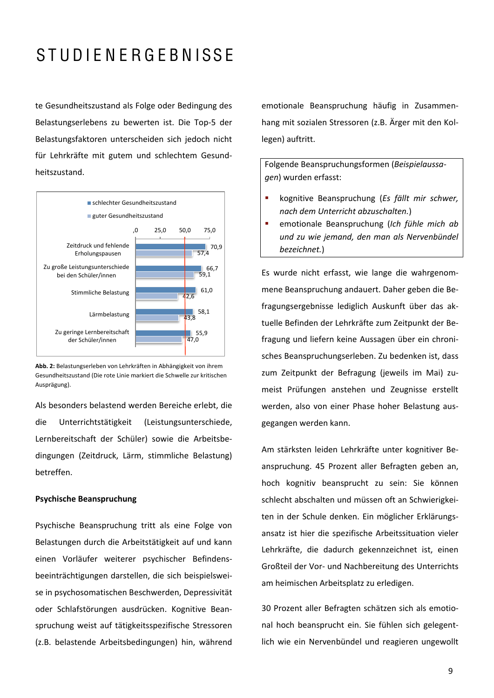te Gesundheitszustand als Folge oder Bedingung des Belastungserlebens zu bewerten ist. Die Top-5 der Belastungsfaktoren unterscheiden sich jedoch nicht für Lehrkräfte mit gutem und schlechtem Gesundheitszustand.



Abb. 2: Belastungserleben von Lehrkräften in Abhängigkeit von ihrem Gesundheitszustand (Die rote Linie markiert die Schwelle zur kritischen Ausprägung).

Als besonders belastend werden Bereiche erlebt, die die Unterrichtstätigkeit (Leistungsunterschiede, Lernbereitschaft der Schüler) sowie die Arbeitsbedingungen (Zeitdruck, Lärm, stimmliche Belastung) betreffen.

### **Psychische Beanspruchung**

Psychische Beanspruchung tritt als eine Folge von Belastungen durch die Arbeitstätigkeit auf und kann einen Vorläufer weiterer psychischer Befindensbeeinträchtigungen darstellen, die sich beispielsweise in psychosomatischen Beschwerden, Depressivität oder Schlafstörungen ausdrücken. Kognitive Beanspruchung weist auf tätigkeitsspezifische Stressoren (z.B. belastende Arbeitsbedingungen) hin, während

emotionale Beanspruchung häufig in Zusammenhang mit sozialen Stressoren (z.B. Ärger mit den Kollegen) auftritt.

Folgende Beanspruchungsformen (Beispielaussagen) wurden erfasst:

- $\blacksquare$ kognitive Beanspruchung (Es fällt mir schwer, nach dem Unterricht abzuschalten.)
- emotionale Beanspruchung (Ich fühle mich ab und zu wie jemand, den man als Nervenbündel bezeichnet.)

Es wurde nicht erfasst, wie lange die wahrgenommene Beanspruchung andauert. Daher geben die Befragungsergebnisse lediglich Auskunft über das aktuelle Befinden der Lehrkräfte zum Zeitpunkt der Befragung und liefern keine Aussagen über ein chronisches Beanspruchungserleben. Zu bedenken ist, dass zum Zeitpunkt der Befragung (jeweils im Mai) zumeist Prüfungen anstehen und Zeugnisse erstellt werden, also von einer Phase hoher Belastung ausgegangen werden kann.

Am stärksten leiden Lehrkräfte unter kognitiver Beanspruchung. 45 Prozent aller Befragten geben an, hoch kognitiv beansprucht zu sein: Sie können schlecht abschalten und müssen oft an Schwierigkeiten in der Schule denken. Ein möglicher Erklärungsansatz ist hier die spezifische Arbeitssituation vieler Lehrkräfte, die dadurch gekennzeichnet ist, einen Großteil der Vor- und Nachbereitung des Unterrichts am heimischen Arbeitsplatz zu erledigen.

30 Prozent aller Befragten schätzen sich als emotional hoch beansprucht ein. Sie fühlen sich gelegentlich wie ein Nervenbündel und reagieren ungewollt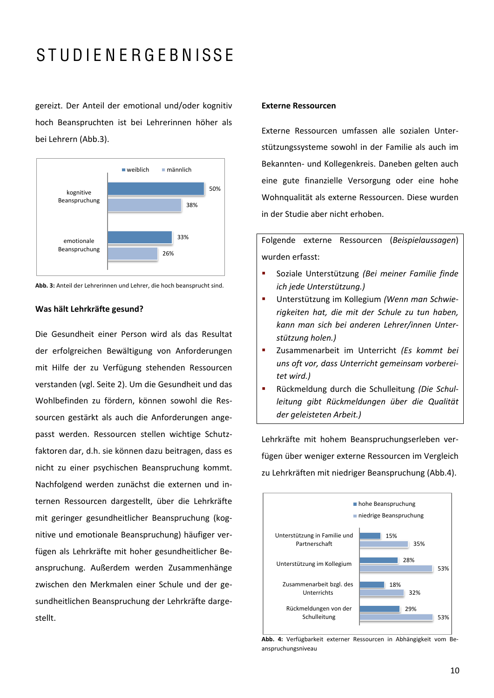gereizt. Der Anteil der emotional und/oder kognitiv hoch Beanspruchten ist bei Lehrerinnen höher als bei Lehrern (Abb.3).





#### Was hält Lehrkräfte gesund?

Die Gesundheit einer Person wird als das Resultat der erfolgreichen Bewältigung von Anforderungen mit Hilfe der zu Verfügung stehenden Ressourcen verstanden (vgl. Seite 2). Um die Gesundheit und das Wohlbefinden zu fördern, können sowohl die Ressourcen gestärkt als auch die Anforderungen angepasst werden. Ressourcen stellen wichtige Schutzfaktoren dar, d.h. sie können dazu beitragen, dass es nicht zu einer psychischen Beanspruchung kommt. Nachfolgend werden zunächst die externen und internen Ressourcen dargestellt, über die Lehrkräfte mit geringer gesundheitlicher Beanspruchung (kognitive und emotionale Beanspruchung) häufiger verfügen als Lehrkräfte mit hoher gesundheitlicher Beanspruchung. Außerdem werden Zusammenhänge zwischen den Merkmalen einer Schule und der gesundheitlichen Beanspruchung der Lehrkräfte dargestellt.

### **Externe Ressourcen**

Externe Ressourcen umfassen alle sozialen Unterstützungssysteme sowohl in der Familie als auch im Bekannten- und Kollegenkreis. Daneben gelten auch eine gute finanzielle Versorgung oder eine hohe Wohnqualität als externe Ressourcen. Diese wurden in der Studie aber nicht erhoben.

Folgende externe Ressourcen (Beispielaussagen) wurden erfasst:

- Soziale Unterstützung (Bei meiner Familie finde  $\mathbf{r}$ ich jede Unterstützung.)
- $\blacksquare$ Unterstützung im Kollegium (Wenn man Schwierigkeiten hat, die mit der Schule zu tun haben, kann man sich bei anderen Lehrer/innen Unterstützung holen.)
- $\mathbf{r}$ Zusammenarbeit im Unterricht (Es kommt bei uns oft vor, dass Unterricht gemeinsam vorbereitet wird.)
- $\overline{\phantom{a}}$ Rückmeldung durch die Schulleitung (Die Schulleitung gibt Rückmeldungen über die Qualität der geleisteten Arbeit.)

Lehrkräfte mit hohem Beanspruchungserleben verfügen über weniger externe Ressourcen im Vergleich zu Lehrkräften mit niedriger Beanspruchung (Abb.4).



Abb. 4: Verfügbarkeit externer Ressourcen in Abhängigkeit vom Beanspruchungsniveau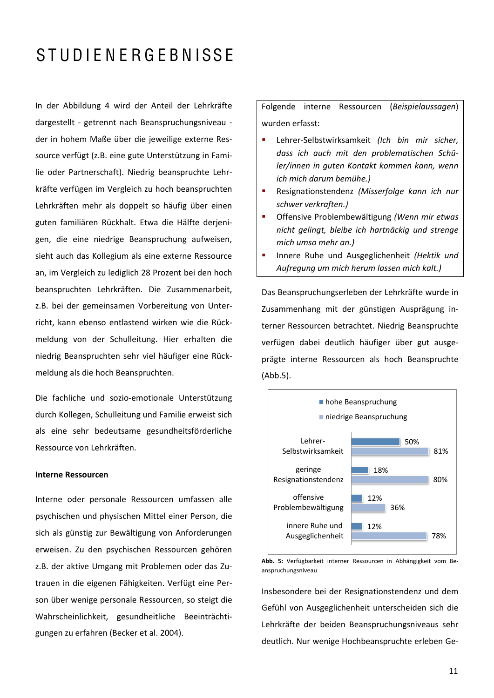In der Abbildung 4 wird der Anteil der Lehrkräfte dargestellt - getrennt nach Beanspruchungsniveau der in hohem Maße über die jeweilige externe Ressource verfügt (z.B. eine gute Unterstützung in Familie oder Partnerschaft). Niedrig beanspruchte Lehrkräfte verfügen im Vergleich zu hoch beanspruchten Lehrkräften mehr als doppelt so häufig über einen guten familiären Rückhalt. Etwa die Hälfte derjenigen, die eine niedrige Beanspruchung aufweisen, sieht auch das Kollegium als eine externe Ressource an, im Vergleich zu lediglich 28 Prozent bei den hoch beanspruchten Lehrkräften. Die Zusammenarbeit, z.B. bei der gemeinsamen Vorbereitung von Unterricht, kann ebenso entlastend wirken wie die Rückmeldung von der Schulleitung. Hier erhalten die niedrig Beanspruchten sehr viel häufiger eine Rückmeldung als die hoch Beanspruchten.

Die fachliche und sozio-emotionale Unterstützung durch Kollegen, Schulleitung und Familie erweist sich als eine sehr bedeutsame gesundheitsförderliche Ressource von Lehrkräften.

#### **Interne Ressourcen**

Interne oder personale Ressourcen umfassen alle psychischen und physischen Mittel einer Person, die sich als günstig zur Bewältigung von Anforderungen erweisen. Zu den psychischen Ressourcen gehören z.B. der aktive Umgang mit Problemen oder das Zutrauen in die eigenen Fähigkeiten. Verfügt eine Person über wenige personale Ressourcen, so steigt die Wahrscheinlichkeit, gesundheitliche Beeinträchtigungen zu erfahren (Becker et al. 2004).

Folgende interne Ressourcen (Beispielaussagen) wurden erfasst:

- Lehrer-Selbstwirksamkeit (Ich bin mir sicher, dass ich auch mit den problematischen Schüler/innen in guten Kontakt kommen kann, wenn ich mich darum bemühe.)
- $\blacksquare$ Resignationstendenz (Misserfolge kann ich nur schwer verkraften.)
- Offensive Problembewältigung (Wenn mir etwas nicht gelingt, bleibe ich hartnäckig und strenge mich umso mehr an.)
- $\blacksquare$ Innere Ruhe und Ausgeglichenheit (Hektik und Aufreauna um mich herum lassen mich kalt.)

Das Beanspruchungserleben der Lehrkräfte wurde in Zusammenhang mit der günstigen Ausprägung interner Ressourcen betrachtet. Niedrig Beanspruchte verfügen dabei deutlich häufiger über gut ausgeprägte interne Ressourcen als hoch Beanspruchte  $(Abb.5)$ .



Abb. 5: Verfügbarkeit interner Ressourcen in Abhängigkeit vom Beanspruchungsniveau

Insbesondere bei der Resignationstendenz und dem Gefühl von Ausgeglichenheit unterscheiden sich die Lehrkräfte der beiden Beanspruchungsniveaus sehr deutlich. Nur wenige Hochbeanspruchte erleben Ge-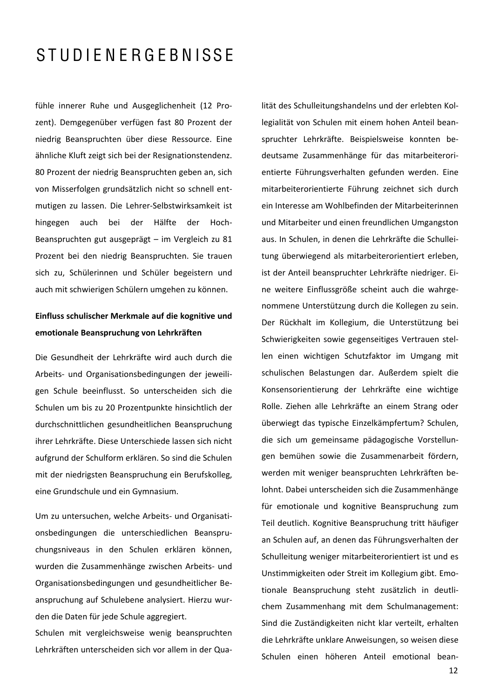fühle innerer Ruhe und Ausgeglichenheit (12 Prozent). Demgegenüber verfügen fast 80 Prozent der niedrig Beanspruchten über diese Ressource. Eine ähnliche Kluft zeigt sich bei der Resignationstendenz. 80 Prozent der niedrig Beanspruchten geben an, sich von Misserfolgen grundsätzlich nicht so schnell entmutigen zu lassen. Die Lehrer-Selbstwirksamkeit ist hingegen auch bei der Hälfte der Hoch-Beanspruchten gut ausgeprägt - im Vergleich zu 81 Prozent bei den niedrig Beanspruchten. Sie trauen sich zu, Schülerinnen und Schüler begeistern und auch mit schwierigen Schülern umgehen zu können.

### Einfluss schulischer Merkmale auf die kognitive und emotionale Beanspruchung von Lehrkräften

Die Gesundheit der Lehrkräfte wird auch durch die Arbeits- und Organisationsbedingungen der jeweiligen Schule beeinflusst. So unterscheiden sich die Schulen um bis zu 20 Prozentpunkte hinsichtlich der durchschnittlichen gesundheitlichen Beanspruchung ihrer Lehrkräfte. Diese Unterschiede lassen sich nicht aufgrund der Schulform erklären. So sind die Schulen mit der niedrigsten Beanspruchung ein Berufskolleg, eine Grundschule und ein Gymnasium.

Um zu untersuchen, welche Arbeits- und Organisationsbedingungen die unterschiedlichen Beanspruchungsniveaus in den Schulen erklären können, wurden die Zusammenhänge zwischen Arbeits- und Organisationsbedingungen und gesundheitlicher Beanspruchung auf Schulebene analysiert. Hierzu wurden die Daten für jede Schule aggregiert.

Schulen mit vergleichsweise wenig beanspruchten Lehrkräften unterscheiden sich vor allem in der Qualität des Schulleitungshandelns und der erlebten Kollegialität von Schulen mit einem hohen Anteil beanspruchter Lehrkräfte. Beispielsweise konnten bedeutsame Zusammenhänge für das mitarbeiterorientierte Führungsverhalten gefunden werden. Eine mitarbeiterorientierte Führung zeichnet sich durch ein Interesse am Wohlbefinden der Mitarbeiterinnen und Mitarbeiter und einen freundlichen Umgangston aus. In Schulen, in denen die Lehrkräfte die Schulleitung überwiegend als mitarbeiterorientiert erleben, ist der Anteil beanspruchter Lehrkräfte niedriger. Eine weitere Einflussgröße scheint auch die wahrgenommene Unterstützung durch die Kollegen zu sein. Der Rückhalt im Kollegium, die Unterstützung bei Schwierigkeiten sowie gegenseitiges Vertrauen stellen einen wichtigen Schutzfaktor im Umgang mit schulischen Belastungen dar. Außerdem spielt die Konsensorientierung der Lehrkräfte eine wichtige Rolle. Ziehen alle Lehrkräfte an einem Strang oder überwiegt das typische Einzelkämpfertum? Schulen, die sich um gemeinsame pädagogische Vorstellungen bemühen sowie die Zusammenarbeit fördern, werden mit weniger beanspruchten Lehrkräften belohnt. Dabei unterscheiden sich die Zusammenhänge für emotionale und kognitive Beanspruchung zum Teil deutlich. Kognitive Beanspruchung tritt häufiger an Schulen auf, an denen das Führungsverhalten der Schulleitung weniger mitarbeiterorientiert ist und es Unstimmigkeiten oder Streit im Kollegium gibt. Emotionale Beanspruchung steht zusätzlich in deutlichem Zusammenhang mit dem Schulmanagement: Sind die Zuständigkeiten nicht klar verteilt, erhalten die Lehrkräfte unklare Anweisungen, so weisen diese Schulen einen höheren Anteil emotional bean-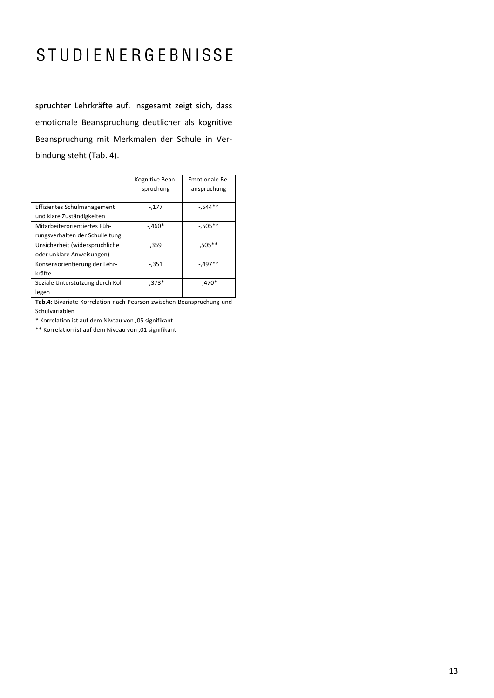spruchter Lehrkräfte auf. Insgesamt zeigt sich, dass emotionale Beanspruchung deutlicher als kognitive Beanspruchung mit Merkmalen der Schule in Verbindung steht (Tab. 4).

|                                  | Kognitive Bean- | <b>Emotionale Be-</b> |
|----------------------------------|-----------------|-----------------------|
|                                  | spruchung       | anspruchung           |
|                                  |                 |                       |
| Effizientes Schulmanagement      | $-177$          | $-0.544**$            |
| und klare Zuständigkeiten        |                 |                       |
| Mitarbeiterorientiertes Füh-     | $-.460*$        | $-0.505**$            |
| rungsverhalten der Schulleitung  |                 |                       |
| Unsicherheit (widersprüchliche   | ,359            | $,505***$             |
| oder unklare Anweisungen)        |                 |                       |
| Konsensorientierung der Lehr-    | $-0.351$        | $-0.497**$            |
| kräfte                           |                 |                       |
| Soziale Unterstützung durch Kol- | $-.373*$        | $-.470*$              |
| legen                            |                 |                       |

Tab.4: Bivariate Korrelation nach Pearson zwischen Beanspruchung und Schulvariablen

\* Korrelation ist auf dem Niveau von ,05 signifikant

\*\* Korrelation ist auf dem Niveau von ,01 signifikant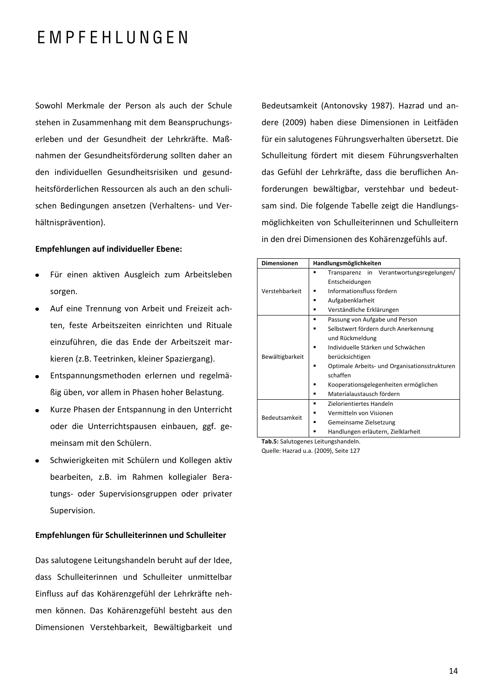### EMPFEHLUNGEN

Sowohl Merkmale der Person als auch der Schule stehen in Zusammenhang mit dem Beanspruchungserleben und der Gesundheit der Lehrkräfte. Maßnahmen der Gesundheitsförderung sollten daher an den individuellen Gesundheitsrisiken und gesundheitsförderlichen Ressourcen als auch an den schulischen Bedingungen ansetzen (Verhaltens- und Verhältnisprävention).

### **Empfehlungen auf individueller Ebene:**

- $\bullet$ Für einen aktiven Ausgleich zum Arbeitsleben sorgen.
- Auf eine Trennung von Arbeit und Freizeit achten, feste Arbeitszeiten einrichten und Rituale einzuführen, die das Ende der Arbeitszeit markieren (z.B. Teetrinken, kleiner Spaziergang).
- Entspannungsmethoden erlernen und regelmä- $\bullet$ ßig üben, vor allem in Phasen hoher Belastung.
- Kurze Phasen der Entspannung in den Unterricht  $\bullet$ oder die Unterrichtspausen einbauen, ggf. gemeinsam mit den Schülern.
- Schwierigkeiten mit Schülern und Kollegen aktiv  $\bullet$ bearbeiten, z.B. im Rahmen kollegialer Beratungs- oder Supervisionsgruppen oder privater Supervision.

### Empfehlungen für Schulleiterinnen und Schulleiter

Das salutogene Leitungshandeln beruht auf der Idee, dass Schulleiterinnen und Schulleiter unmittelbar Einfluss auf das Kohärenzgefühl der Lehrkräfte nehmen können. Das Kohärenzgefühl besteht aus den Dimensionen Verstehbarkeit, Bewältigbarkeit und Bedeutsamkeit (Antonovsky 1987). Hazrad und andere (2009) haben diese Dimensionen in Leitfäden für ein salutogenes Führungsverhalten übersetzt. Die Schulleitung fördert mit diesem Führungsverhalten das Gefühl der Lehrkräfte, dass die beruflichen Anforderungen bewältigbar, verstehbar und bedeutsam sind. Die folgende Tabelle zeigt die Handlungsmöglichkeiten von Schulleiterinnen und Schulleitern in den drei Dimensionen des Kohärenzgefühls auf.

| <b>Dimensionen</b> | Handlungsmöglichkeiten                        |  |  |
|--------------------|-----------------------------------------------|--|--|
| Verstehbarkeit     | Transparenz in Verantwortungsregelungen/      |  |  |
|                    | Entscheidungen                                |  |  |
|                    | Informationsfluss fördern                     |  |  |
|                    | Aufgabenklarheit                              |  |  |
|                    | Verständliche Erklärungen                     |  |  |
|                    | Passung von Aufgabe und Person                |  |  |
| Bewältigbarkeit    | Selbstwert fördern durch Anerkennung          |  |  |
|                    | und Rückmeldung                               |  |  |
|                    | Individuelle Stärken und Schwächen            |  |  |
|                    | berücksichtigen                               |  |  |
|                    | Optimale Arbeits- und Organisationsstrukturen |  |  |
|                    | schaffen                                      |  |  |
|                    | Kooperationsgelegenheiten ermöglichen         |  |  |
|                    | Materialaustausch fördern                     |  |  |
| Bedeutsamkeit      | Zielorientiertes Handeln<br>▪                 |  |  |
|                    | Vermitteln von Visionen                       |  |  |
|                    | Gemeinsame Zielsetzung                        |  |  |
|                    | Handlungen erläutern, Zielklarheit            |  |  |

Tab.5: Salutogenes Leitungshandeln.

Quelle: Hazrad u.a. (2009), Seite 127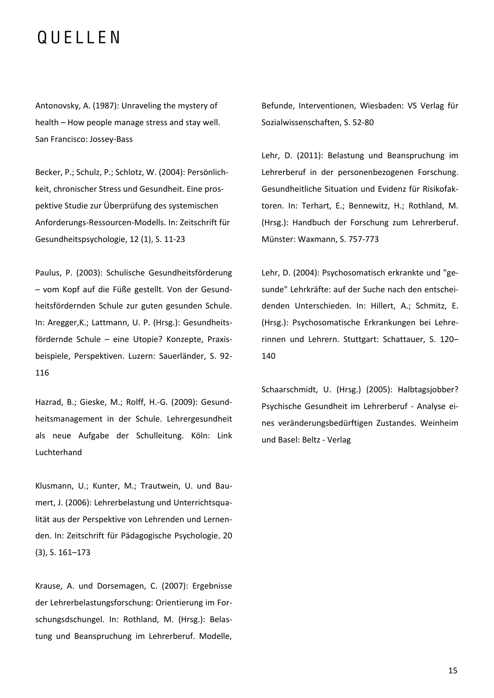### QUELLEN

Antonovsky, A. (1987): Unraveling the mystery of health - How people manage stress and stay well. San Francisco: Jossey-Bass

Becker, P.; Schulz, P.; Schlotz, W. (2004): Persönlichkeit, chronischer Stress und Gesundheit. Eine prospektive Studie zur Überprüfung des systemischen Anforderungs-Ressourcen-Modells. In: Zeitschrift für Gesundheitspsychologie, 12 (1), S. 11-23

Paulus, P. (2003): Schulische Gesundheitsförderung - vom Kopf auf die Füße gestellt. Von der Gesundheitsfördernden Schule zur guten gesunden Schule. In: Aregger, K.; Lattmann, U. P. (Hrsg.): Gesundheitsfördernde Schule - eine Utopie? Konzepte, Praxisbeispiele, Perspektiven. Luzern: Sauerländer, S. 92-116

Hazrad, B.; Gieske, M.; Rolff, H.-G. (2009): Gesundheitsmanagement in der Schule. Lehrergesundheit als neue Aufgabe der Schulleitung. Köln: Link Luchterhand

Klusmann, U.: Kunter, M.: Trautwein, U. und Baumert, J. (2006): Lehrerbelastung und Unterrichtsqualität aus der Perspektive von Lehrenden und Lernenden. In: Zeitschrift für Pädagogische Psychologie, 20  $(3)$ , S. 161-173

Krause, A. und Dorsemagen, C. (2007): Ergebnisse der Lehrerbelastungsforschung: Orientierung im Forschungsdschungel. In: Rothland, M. (Hrsg.): Belastung und Beanspruchung im Lehrerberuf. Modelle, Befunde, Interventionen, Wiesbaden: VS Verlag für Sozialwissenschaften, S. 52-80

Lehr, D. (2011): Belastung und Beanspruchung im Lehrerberuf in der personenbezogenen Forschung. Gesundheitliche Situation und Evidenz für Risikofaktoren. In: Terhart, E.; Bennewitz, H.; Rothland, M. (Hrsg.): Handbuch der Forschung zum Lehrerberuf. Münster: Waxmann, S. 757-773

Lehr, D. (2004): Psychosomatisch erkrankte und "gesunde" Lehrkräfte: auf der Suche nach den entscheidenden Unterschieden. In: Hillert, A.; Schmitz, E. (Hrsg.): Psychosomatische Erkrankungen bei Lehrerinnen und Lehrern. Stuttgart: Schattauer, S. 120-140

Schaarschmidt, U. (Hrsg.) (2005): Halbtagsjobber? Psychische Gesundheit im Lehrerberuf - Analyse eines veränderungsbedürftigen Zustandes. Weinheim und Basel: Beltz - Verlag